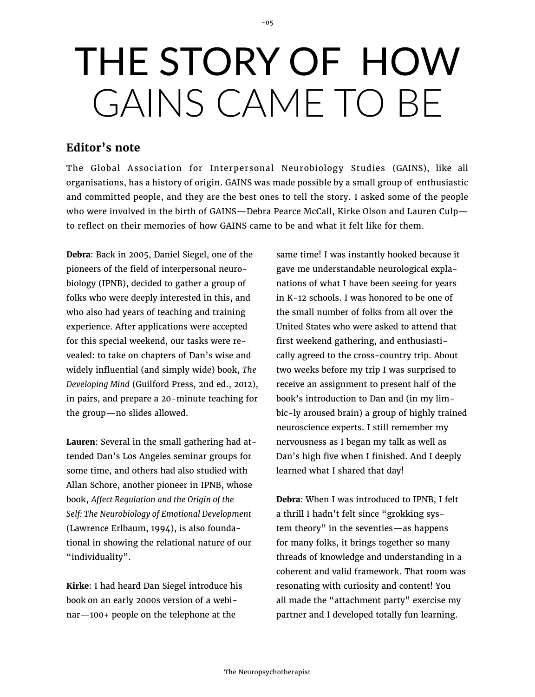## THE STORY OF HOW GAINS CAME TO BE

 $-05$ 

## **Editor's note**

The Global Association for Interpersonal Neurobiology Studies (GAINS), like all organisations, has a history of origin. GAINS was made possible by a small group of enthusiastic and committed people, and they are the best ones to tell the story. I asked some of the people who were involved in the birth of GAINS—Debra Pearce McCall, Kirke Olson and Lauren Culp to reflect on their memories of how GAINS came to be and what it felt like for them.

**Debra**: Back in 2005, Daniel Siegel, one of the pioneers of the field of interpersonal neurobiology (IPNB), decided to gather a group of folks who were deeply interested in this, and who also had years of teaching and training experience. After applications were accepted for this special weekend, our tasks were revealed: to take on chapters of Dan's wise and widely influential (and simply wide) book, *The Developing Mind* (Guilford Press, 2nd ed., 2012), in pairs, and prepare a 20-minute teaching for the group—no slides allowed.

**Lauren**: Several in the small gathering had attended Dan's Los Angeles seminar groups for some time, and others had also studied with Allan Schore, another pioneer in IPNB, whose book, *Affect Regulation and the Origin of the Self: The Neurobiology of Emotional Development*  (Lawrence Erlbaum, 1994), is also foundational in showing the relational nature of our "individuality".

**Kirke**: I had heard Dan Siegel introduce his book on an early 2000s version of a webinar—100+ people on the telephone at the

same time! I was instantly hooked because it gave me understandable neurological explanations of what I have been seeing for years in K-12 schools. I was honored to be one of the small number of folks from all over the United States who were asked to attend that first weekend gathering, and enthusiastically agreed to the cross-country trip. About two weeks before my trip I was surprised to receive an assignment to present half of the book's introduction to Dan and (in my limbic-ly aroused brain) a group of highly trained neuroscience experts. I still remember my nervousness as I began my talk as well as Dan's high five when I finished. And I deeply learned what I shared that day!

**Debra**: When I was introduced to IPNB, I felt a thrill I hadn't felt since "grokking system theory" in the seventies—as happens for many folks, it brings together so many threads of knowledge and understanding in a coherent and valid framework. That room was resonating with curiosity and content! You all made the "attachment party" exercise my partner and I developed totally fun learning.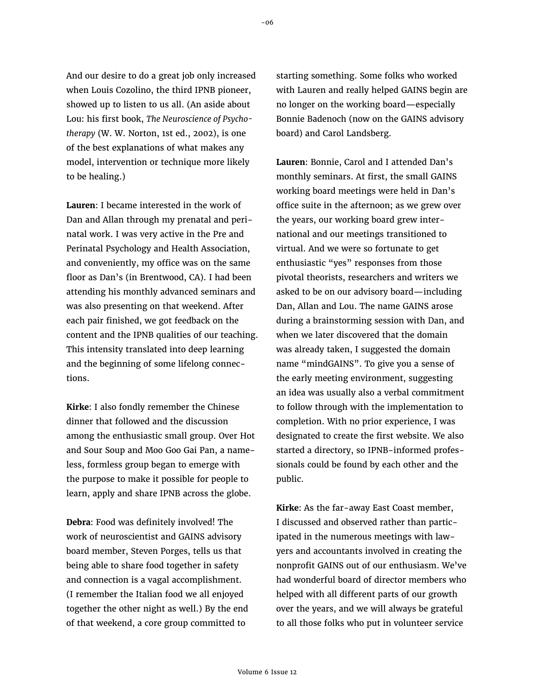And our desire to do a great job only increased when Louis Cozolino, the third IPNB pioneer, showed up to listen to us all. (An aside about Lou: his first book, *The Neuroscience of Psychotherapy* (W. W. Norton, 1st ed., 2002), is one of the best explanations of what makes any model, intervention or technique more likely to be healing.)

**Lauren**: I became interested in the work of Dan and Allan through my prenatal and perinatal work. I was very active in the Pre and Perinatal Psychology and Health Association, and conveniently, my office was on the same floor as Dan's (in Brentwood, CA). I had been attending his monthly advanced seminars and was also presenting on that weekend. After each pair finished, we got feedback on the content and the IPNB qualities of our teaching. This intensity translated into deep learning and the beginning of some lifelong connections.

**Kirke**: I also fondly remember the Chinese dinner that followed and the discussion among the enthusiastic small group. Over Hot and Sour Soup and Moo Goo Gai Pan, a nameless, formless group began to emerge with the purpose to make it possible for people to learn, apply and share IPNB across the globe.

**Debra**: Food was definitely involved! The work of neuroscientist and GAINS advisory board member, Steven Porges, tells us that being able to share food together in safety and connection is a vagal accomplishment. (I remember the Italian food we all enjoyed together the other night as well.) By the end of that weekend, a core group committed to

starting something. Some folks who worked with Lauren and really helped GAINS begin are no longer on the working board—especially Bonnie Badenoch (now on the GAINS advisory board) and Carol Landsberg.

**Lauren**: Bonnie, Carol and I attended Dan's monthly seminars. At first, the small GAINS working board meetings were held in Dan's office suite in the afternoon; as we grew over the years, our working board grew international and our meetings transitioned to virtual. And we were so fortunate to get enthusiastic "yes" responses from those pivotal theorists, researchers and writers we asked to be on our advisory board—including Dan, Allan and Lou. The name GAINS arose during a brainstorming session with Dan, and when we later discovered that the domain was already taken, I suggested the domain name "mindGAINS". To give you a sense of the early meeting environment, suggesting an idea was usually also a verbal commitment to follow through with the implementation to completion. With no prior experience, I was designated to create the first website. We also started a directory, so IPNB-informed professionals could be found by each other and the public.

**Kirke**: As the far-away East Coast member, I discussed and observed rather than participated in the numerous meetings with lawyers and accountants involved in creating the nonprofit GAINS out of our enthusiasm. We've had wonderful board of director members who helped with all different parts of our growth over the years, and we will always be grateful to all those folks who put in volunteer service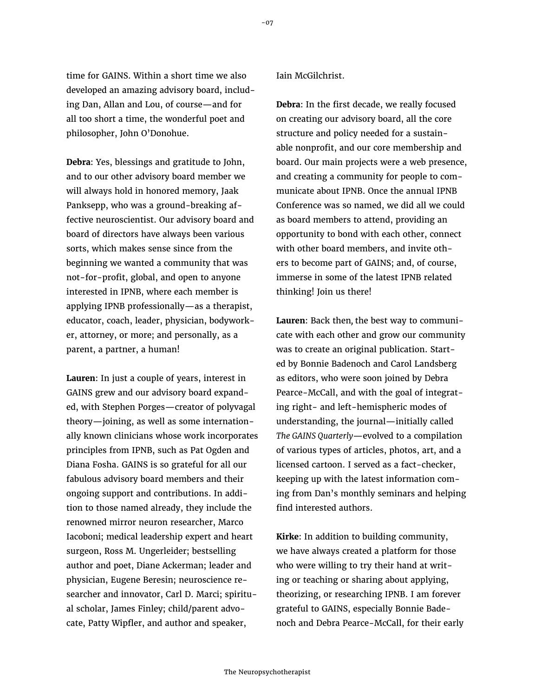time for GAINS. Within a short time we also developed an amazing advisory board, including Dan, Allan and Lou, of course—and for all too short a time, the wonderful poet and philosopher, John O'Donohue.

**Debra**: Yes, blessings and gratitude to John, and to our other advisory board member we will always hold in honored memory, Jaak Panksepp, who was a ground-breaking affective neuroscientist. Our advisory board and board of directors have always been various sorts, which makes sense since from the beginning we wanted a community that was not-for-profit, global, and open to anyone interested in IPNB, where each member is applying IPNB professionally—as a therapist, educator, coach, leader, physician, bodyworker, attorney, or more; and personally, as a parent, a partner, a human!

**Lauren**: In just a couple of years, interest in GAINS grew and our advisory board expanded, with Stephen Porges—creator of polyvagal theory—joining, as well as some internationally known clinicians whose work incorporates principles from IPNB, such as Pat Ogden and Diana Fosha. GAINS is so grateful for all our fabulous advisory board members and their ongoing support and contributions. In addition to those named already, they include the renowned mirror neuron researcher, Marco Iacoboni; medical leadership expert and heart surgeon, Ross M. Ungerleider; bestselling author and poet, Diane Ackerman; leader and physician, Eugene Beresin; neuroscience researcher and innovator, Carl D. Marci; spiritual scholar, James Finley; child/parent advocate, Patty Wipfler, and author and speaker,

## Iain McGilchrist.

**Debra**: In the first decade, we really focused on creating our advisory board, all the core structure and policy needed for a sustainable nonprofit, and our core membership and board. Our main projects were a web presence, and creating a community for people to communicate about IPNB. Once the annual IPNB Conference was so named, we did all we could as board members to attend, providing an opportunity to bond with each other, connect with other board members, and invite others to become part of GAINS; and, of course, immerse in some of the latest IPNB related thinking! Join us there!

**Lauren**: Back then*,* the best way to communicate with each other and grow our community was to create an original publication. Started by Bonnie Badenoch and Carol Landsberg as editors, who were soon joined by Debra Pearce-McCall, and with the goal of integrating right- and left-hemispheric modes of understanding, the journal—initially called *The GAINS Quarterly*—evolved to a compilation of various types of articles, photos, art, and a licensed cartoon. I served as a fact-checker, keeping up with the latest information coming from Dan's monthly seminars and helping find interested authors.

**Kirke**: In addition to building community, we have always created a platform for those who were willing to try their hand at writing or teaching or sharing about applying, theorizing, or researching IPNB. I am forever grateful to GAINS, especially Bonnie Badenoch and Debra Pearce-McCall, for their early

-07